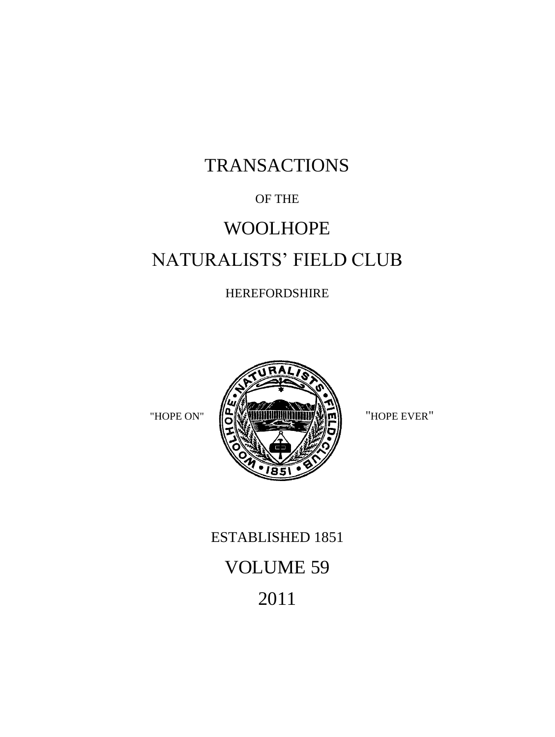# TRANSACTIONS

# OF THE

# WOOLHOPE NATURALISTS' FIELD CLUB

# HEREFORDSHIRE



# ESTABLISHED 1851 VOLUME 59 2011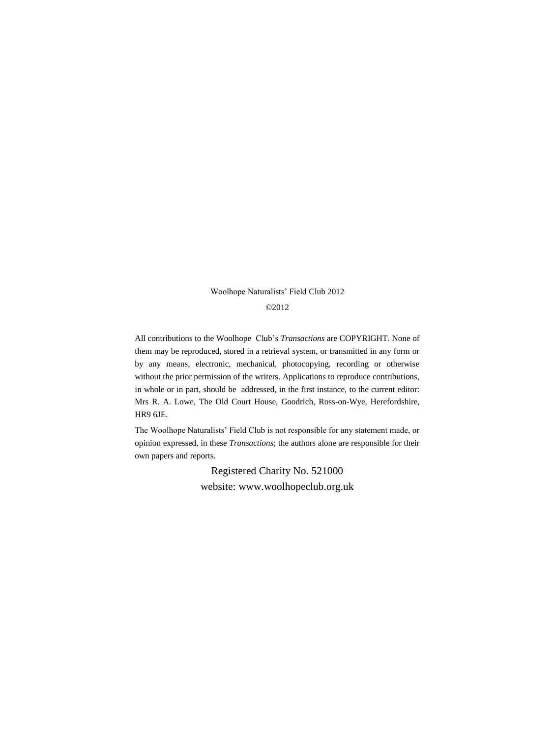#### Woolhope Naturalists' Field Club 2012

#### ©2012

All contributions to the Woolhope Club's *Transactions* are COPYRIGHT. None of them may be reproduced, stored in a retrieval system, or transmitted in any form or by any means, electronic, mechanical, photocopying, recording or otherwise without the prior permission of the writers. Applications to reproduce contributions, in whole or in part, should be addressed, in the first instance, to the current editor: Mrs R. A. Lowe, The Old Court House, Goodrich, Ross-on-Wye, Herefordshire, HR9 6JE.

The Woolhope Naturalists' Field Club is not responsible for any statement made, or opinion expressed, in these *Transactions*; the authors alone are responsible for their own papers and reports.

> Registered Charity No. 521000 website: www.woolhopeclub.org.uk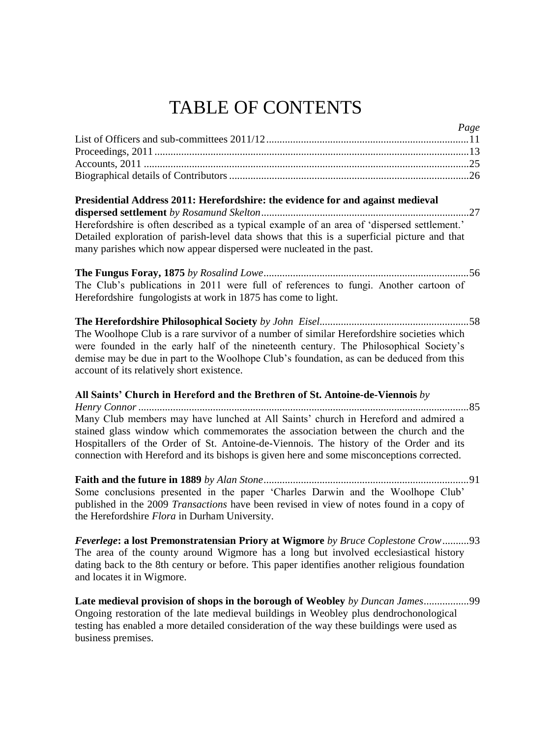# TABLE OF CONTENTS

| ruge |
|------|
|      |
|      |
|      |
|      |

*Page*

#### **Presidential Address 2011: Herefordshire: the evidence for and against medieval dispersed settlement** *by Rosamund Skelton*..............................................................................27 Herefordshire is often described as a typical example of an area of 'dispersed settlement.' Detailed exploration of parish-level data shows that this is a superficial picture and that many parishes which now appear dispersed were nucleated in the past.

**The Fungus Foray, 1875** *by Rosalind Lowe.............................................................................*56 The Club's publications in 2011 were full of references to fungi. Another cartoon of Herefordshire fungologists at work in 1875 has come to light.

**The Herefordshire Philosophical Society** *by John Eisel........................................................*58 The Woolhope Club is a rare survivor of a number of similar Herefordshire societies which were founded in the early half of the nineteenth century. The Philosophical Society's demise may be due in part to the Woolhope Club's foundation, as can be deduced from this account of its relatively short existence.

#### **All Saints' Church in Hereford and the Brethren of St. Antoine-de-Viennois** *by*

*Henry Connor ............................................................................................................................*85 Many Club members may have lunched at All Saints' church in Hereford and admired a stained glass window which commemorates the association between the church and the Hospitallers of the Order of St. Antoine-de-Viennois. The history of the Order and its connection with Hereford and its bishops is given here and some misconceptions corrected.

**Faith and the future in 1889** *by Alan Stone.............................................................................*91 Some conclusions presented in the paper 'Charles Darwin and the Woolhope Club' published in the 2009 *Transactions* have been revised in view of notes found in a copy of the Herefordshire *Flora* in Durham University.

*Feverlege***: a lost Premonstratensian Priory at Wigmore** *by Bruce Coplestone Crow*..........93 The area of the county around Wigmore has a long but involved ecclesiastical history dating back to the 8th century or before. This paper identifies another religious foundation and locates it in Wigmore.

**Late medieval provision of shops in the borough of Weobley** *by Duncan James*.................99 Ongoing restoration of the late medieval buildings in Weobley plus dendrochonological testing has enabled a more detailed consideration of the way these buildings were used as business premises.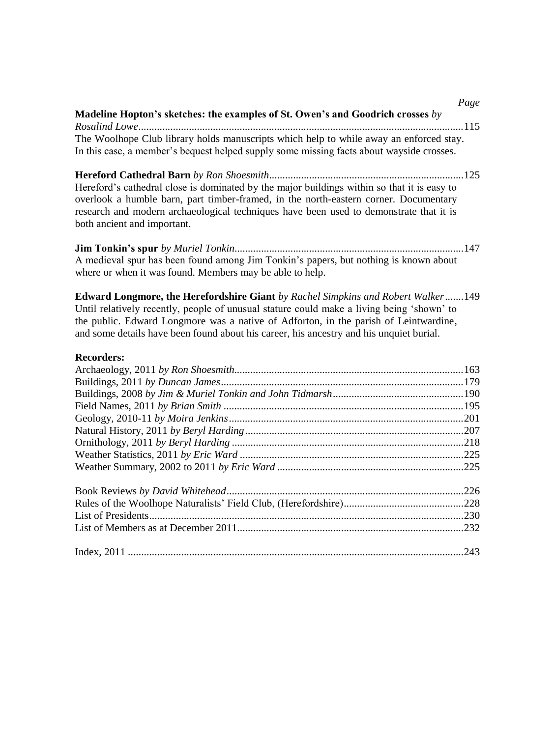|                                                                                                                                                                                                                                                                                                                                                                  | Page |
|------------------------------------------------------------------------------------------------------------------------------------------------------------------------------------------------------------------------------------------------------------------------------------------------------------------------------------------------------------------|------|
| Madeline Hopton's sketches: the examples of St. Owen's and Goodrich crosses by                                                                                                                                                                                                                                                                                   |      |
| The Woolhope Club library holds manuscripts which help to while away an enforced stay.                                                                                                                                                                                                                                                                           |      |
| In this case, a member's bequest helped supply some missing facts about wayside crosses.                                                                                                                                                                                                                                                                         |      |
|                                                                                                                                                                                                                                                                                                                                                                  |      |
| Hereford's cathedral close is dominated by the major buildings within so that it is easy to                                                                                                                                                                                                                                                                      |      |
| overlook a humble barn, part timber-framed, in the north-eastern corner. Documentary                                                                                                                                                                                                                                                                             |      |
| research and modern archaeological techniques have been used to demonstrate that it is<br>both ancient and important.                                                                                                                                                                                                                                            |      |
|                                                                                                                                                                                                                                                                                                                                                                  |      |
| A medieval spur has been found among Jim Tonkin's papers, but nothing is known about<br>where or when it was found. Members may be able to help.                                                                                                                                                                                                                 |      |
| Edward Longmore, the Herefordshire Giant by Rachel Simpkins and Robert Walker149<br>Until relatively recently, people of unusual stature could make a living being 'shown' to<br>the public. Edward Longmore was a native of Adforton, in the parish of Leintwardine,<br>and some details have been found about his career, his ancestry and his unquiet burial. |      |
| <b>Recorders:</b>                                                                                                                                                                                                                                                                                                                                                |      |
|                                                                                                                                                                                                                                                                                                                                                                  |      |
|                                                                                                                                                                                                                                                                                                                                                                  |      |
|                                                                                                                                                                                                                                                                                                                                                                  |      |
|                                                                                                                                                                                                                                                                                                                                                                  |      |
|                                                                                                                                                                                                                                                                                                                                                                  |      |
|                                                                                                                                                                                                                                                                                                                                                                  |      |
|                                                                                                                                                                                                                                                                                                                                                                  |      |
|                                                                                                                                                                                                                                                                                                                                                                  |      |
|                                                                                                                                                                                                                                                                                                                                                                  |      |
|                                                                                                                                                                                                                                                                                                                                                                  |      |
|                                                                                                                                                                                                                                                                                                                                                                  |      |
|                                                                                                                                                                                                                                                                                                                                                                  |      |
|                                                                                                                                                                                                                                                                                                                                                                  |      |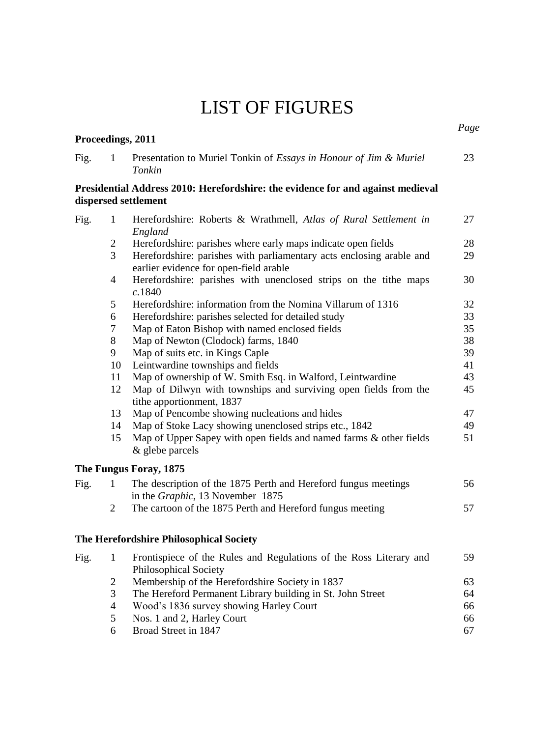# LIST OF FIGURES

| Fig. | 1              | Presentation to Muriel Tonkin of Essays in Honour of Jim & Muriel<br>Tonkin                                    | 23 |
|------|----------------|----------------------------------------------------------------------------------------------------------------|----|
|      |                | Presidential Address 2010: Herefordshire: the evidence for and against medieval<br>dispersed settlement        |    |
| Fig. | $\mathbf{1}$   | Herefordshire: Roberts & Wrathmell, Atlas of Rural Settlement in<br>England                                    | 27 |
|      | $\overline{c}$ | Herefordshire: parishes where early maps indicate open fields                                                  | 28 |
|      | 3              | Herefordshire: parishes with parliamentary acts enclosing arable and<br>earlier evidence for open-field arable | 29 |
|      | $\overline{4}$ | Herefordshire: parishes with unenclosed strips on the tithe maps<br>c.1840                                     | 30 |
|      | 5              | Herefordshire: information from the Nomina Villarum of 1316                                                    | 32 |
|      | 6              | Herefordshire: parishes selected for detailed study                                                            | 33 |
|      | $\tau$         | Map of Eaton Bishop with named enclosed fields                                                                 | 35 |
|      | 8              | Map of Newton (Clodock) farms, 1840                                                                            | 38 |
|      | 9              | Map of suits etc. in Kings Caple                                                                               | 39 |
|      | 10             | Leintwardine townships and fields                                                                              | 41 |
|      | 11             | Map of ownership of W. Smith Esq. in Walford, Leintwardine                                                     | 43 |
|      | 12             | Map of Dilwyn with townships and surviving open fields from the<br>tithe apportionment, 1837                   | 45 |
|      | 13             | Map of Pencombe showing nucleations and hides                                                                  | 47 |
|      | 14             | Map of Stoke Lacy showing unenclosed strips etc., 1842                                                         | 49 |
|      | 15             | Map of Upper Sapey with open fields and named farms & other fields<br>& glebe parcels                          | 51 |
|      |                | The Fungus Foray, 1875                                                                                         |    |
| Fig. | 1              | The description of the 1875 Perth and Hereford fungus meetings<br>in the Graphic, 13 November 1875             | 56 |
|      | 2              | The cartoon of the 1875 Perth and Hereford fungus meeting                                                      | 57 |
|      |                | The Herefordshire Philosophical Society                                                                        |    |
| Fig. | 1              | Frontispiece of the Rules and Regulations of the Ross Literary and<br>Philosophical Society                    | 59 |
|      | $\overline{c}$ | Membership of the Herefordshire Society in 1837                                                                | 63 |
|      | 3              | The Hereford Permanent Library building in St. John Street                                                     | 64 |
|      | $\overline{4}$ | Wood's 1836 survey showing Harley Court                                                                        | 66 |
|      | 5              | Nos. 1 and 2, Harley Court                                                                                     | 66 |
|      | 6              | Broad Street in 1847                                                                                           | 67 |

*Page*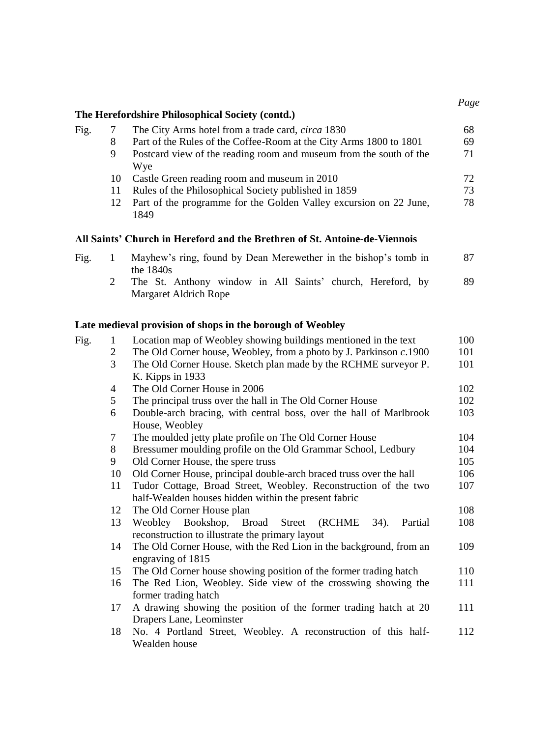| Fig. |    | The City Arms hotel from a trade card, <i>circa</i> 1830           | 68 |
|------|----|--------------------------------------------------------------------|----|
|      | 8  | Part of the Rules of the Coffee-Room at the City Arms 1800 to 1801 | 69 |
|      | 9  | Postcard view of the reading room and museum from the south of the | 71 |
|      |    | Wye                                                                |    |
|      | 10 | Castle Green reading room and museum in 2010                       | 72 |
|      |    | Rules of the Philosophical Society published in 1859               | 73 |
|      | 12 | Part of the programme for the Golden Valley excursion on 22 June,  | 78 |
|      |    | 1849                                                               |    |

## **All Saints' Church in Hereford and the Brethren of St. Antoine-de-Viennois**

| Fig. | Mayhew's ring, found by Dean Merewether in the bishop's tomb in |    |
|------|-----------------------------------------------------------------|----|
|      | the $1840s$                                                     |    |
|      | The St. Anthony window in All Saints' church, Hereford, by      | 89 |
|      | Margaret Aldrich Rope                                           |    |
|      |                                                                 |    |

## **Late medieval provision of shops in the borough of Weobley**

| Fig. | 1              | Location map of Weobley showing buildings mentioned in the text    | 100 |
|------|----------------|--------------------------------------------------------------------|-----|
|      | $\overline{c}$ | The Old Corner house, Weobley, from a photo by J. Parkinson c.1900 | 101 |
|      | 3              | The Old Corner House. Sketch plan made by the RCHME surveyor P.    | 101 |
|      |                | K. Kipps in $1933$                                                 |     |
|      | 4              | The Old Corner House in 2006                                       | 102 |
|      | 5              | The principal truss over the hall in The Old Corner House          | 102 |
|      | 6              | Double-arch bracing, with central boss, over the hall of Marlbrook | 103 |
|      |                | House, Weobley                                                     |     |
|      | 7              | The moulded jetty plate profile on The Old Corner House            | 104 |
|      | 8              | Bressumer moulding profile on the Old Grammar School, Ledbury      | 104 |
|      | 9              | Old Corner House, the spere truss                                  | 105 |
|      | 10             | Old Corner House, principal double-arch braced truss over the hall | 106 |
|      | 11             | Tudor Cottage, Broad Street, Weobley. Reconstruction of the two    | 107 |
|      |                | half-Wealden houses hidden within the present fabric               |     |
|      | 12             | The Old Corner House plan                                          | 108 |
|      | 13             | Weobley Bookshop, Broad Street (RCHME<br>34).<br>Partial           | 108 |
|      |                | reconstruction to illustrate the primary layout                    |     |
|      | 14             | The Old Corner House, with the Red Lion in the background, from an | 109 |
|      |                | engraving of 1815                                                  |     |
|      | 15             | The Old Corner house showing position of the former trading hatch  | 110 |
|      | 16             | The Red Lion, Weobley. Side view of the crosswing showing the      | 111 |
|      |                | former trading hatch                                               |     |
|      | 17             | A drawing showing the position of the former trading hatch at 20   | 111 |
|      |                | Drapers Lane, Leominster                                           |     |
|      | 18             | No. 4 Portland Street, Weobley. A reconstruction of this half-     | 112 |
|      |                | Wealden house                                                      |     |

71

78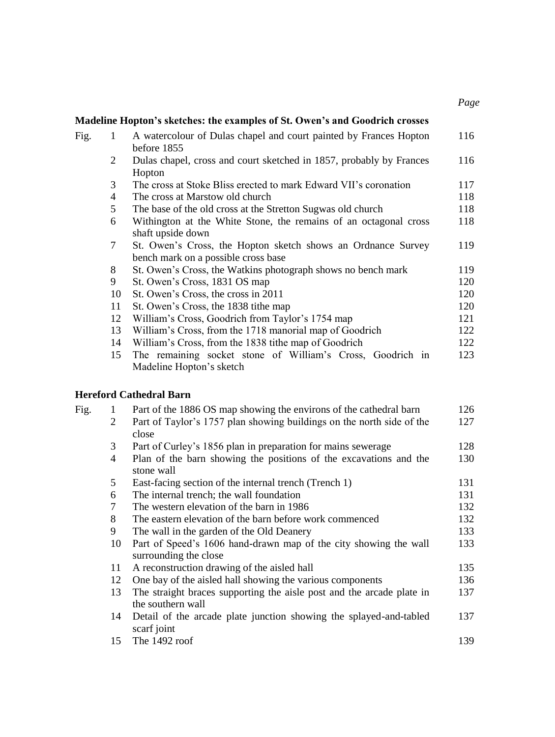|      |                | Madeline Hopton's sketches: the examples of St. Owen's and Goodrich crosses |     |
|------|----------------|-----------------------------------------------------------------------------|-----|
| Fig. | 1              | A watercolour of Dulas chapel and court painted by Frances Hopton           | 116 |
|      |                | before 1855                                                                 |     |
|      | 2              | Dulas chapel, cross and court sketched in 1857, probably by Frances         | 116 |
|      |                | Hopton                                                                      |     |
|      | 3              | The cross at Stoke Bliss erected to mark Edward VII's coronation            | 117 |
|      | $\overline{4}$ | The cross at Marstow old church                                             | 118 |
|      | 5              | The base of the old cross at the Stretton Sugwas old church                 | 118 |
|      | 6              | Withington at the White Stone, the remains of an octagonal cross            | 118 |
|      |                | shaft upside down                                                           |     |
|      | 7              | St. Owen's Cross, the Hopton sketch shows an Ordnance Survey                | 119 |
|      |                | bench mark on a possible cross base                                         |     |
|      | 8              | St. Owen's Cross, the Watkins photograph shows no bench mark                | 119 |
|      | 9              | St. Owen's Cross, 1831 OS map                                               | 120 |
|      | 10             | St. Owen's Cross, the cross in 2011                                         | 120 |
|      | 11             | St. Owen's Cross, the 1838 tithe map                                        | 120 |
|      | 12             | William's Cross, Goodrich from Taylor's 1754 map                            | 121 |
|      | 13             | William's Cross, from the 1718 manorial map of Goodrich                     | 122 |
|      | 14             | William's Cross, from the 1838 tithe map of Goodrich                        | 122 |
|      | 15             | The remaining socket stone of William's Cross, Goodrich in                  | 123 |
|      |                | Madeline Hopton's sketch                                                    |     |

*Page*

### **Hereford Cathedral Barn**

| Fig. | 1              | Part of the 1886 OS map showing the environs of the cathedral barn                         | 126 |
|------|----------------|--------------------------------------------------------------------------------------------|-----|
|      | 2              | Part of Taylor's 1757 plan showing buildings on the north side of the<br>close             | 127 |
|      | 3              | Part of Curley's 1856 plan in preparation for mains sewerage                               | 128 |
|      | $\overline{4}$ | Plan of the barn showing the positions of the excavations and the<br>stone wall            | 130 |
|      | 5              | East-facing section of the internal trench (Trench 1)                                      | 131 |
|      | 6              | The internal trench; the wall foundation                                                   | 131 |
|      | $\tau$         | The western elevation of the barn in 1986                                                  | 132 |
|      | 8              | The eastern elevation of the barn before work commenced                                    | 132 |
|      | 9              | The wall in the garden of the Old Deanery                                                  | 133 |
|      | 10             | Part of Speed's 1606 hand-drawn map of the city showing the wall<br>surrounding the close  | 133 |
|      | 11             | A reconstruction drawing of the aisled hall                                                | 135 |
|      | 12             | One bay of the aisled hall showing the various components                                  | 136 |
|      | 13             | The straight braces supporting the aisle post and the arcade plate in<br>the southern wall | 137 |
|      | 14             | Detail of the arcade plate junction showing the splayed-and-tabled<br>scarf joint          | 137 |
|      | 15             | The $1492$ roof                                                                            | 139 |
|      |                |                                                                                            |     |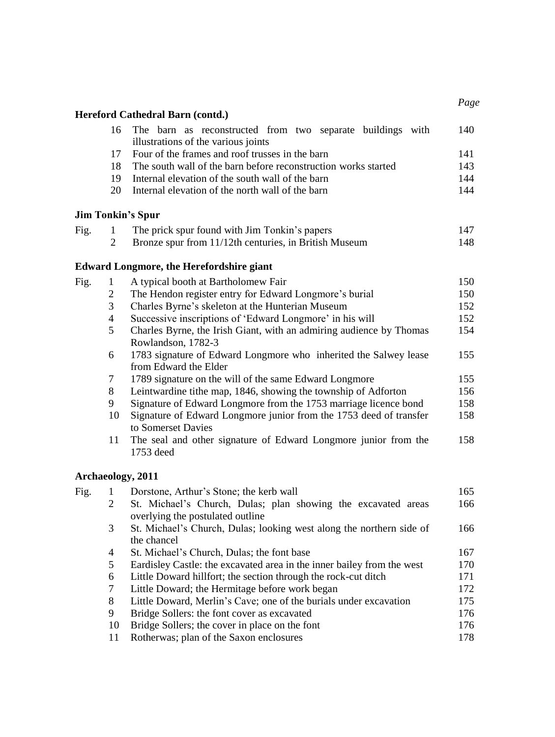|      |                | Hereford Cathedral Barn (contd.)                                                                  |     |
|------|----------------|---------------------------------------------------------------------------------------------------|-----|
|      | 16             | The barn as reconstructed from two separate buildings with<br>illustrations of the various joints | 140 |
|      | 17             | Four of the frames and roof trusses in the barn                                                   | 141 |
|      | 18             | The south wall of the barn before reconstruction works started                                    | 143 |
|      | 19             | Internal elevation of the south wall of the barn                                                  | 144 |
|      | 20             | Internal elevation of the north wall of the barn                                                  | 144 |
|      |                | <b>Jim Tonkin's Spur</b>                                                                          |     |
| Fig. | $\mathbf{1}$   | The prick spur found with Jim Tonkin's papers                                                     | 147 |
|      | $\overline{2}$ | Bronze spur from 11/12th centuries, in British Museum                                             | 148 |
|      |                | <b>Edward Longmore, the Herefordshire giant</b>                                                   |     |
| Fig. | 1              | A typical booth at Bartholomew Fair                                                               | 150 |
|      | 2              | The Hendon register entry for Edward Longmore's burial                                            | 150 |
|      | 3              | Charles Byrne's skeleton at the Hunterian Museum                                                  | 152 |
|      | 4              | Successive inscriptions of 'Edward Longmore' in his will                                          | 152 |
|      | 5              | Charles Byrne, the Irish Giant, with an admiring audience by Thomas<br>Rowlandson, 1782-3         | 154 |
|      | 6              | 1783 signature of Edward Longmore who inherited the Salwey lease<br>from Edward the Elder         | 155 |
|      | 7              | 1789 signature on the will of the same Edward Longmore                                            | 155 |
|      | 8              | Leintwardine tithe map, 1846, showing the township of Adforton                                    | 156 |
|      | 9              | Signature of Edward Longmore from the 1753 marriage licence bond                                  | 158 |
|      | 10             | Signature of Edward Longmore junior from the 1753 deed of transfer<br>to Somerset Davies          | 158 |
|      | 11             | The seal and other signature of Edward Longmore junior from the<br>1753 deed                      | 158 |
|      |                | Archaeology, 2011                                                                                 |     |
| Fig. | $\mathbf{1}$   | Dorstone, Arthur's Stone; the kerb wall                                                           | 165 |
|      | 2              | St. Michael's Church, Dulas; plan showing the excavated areas<br>overlying the postulated outline | 166 |
|      | 3              | St. Michael's Church, Dulas; looking west along the northern side of<br>the chancel               | 166 |
|      | 4              | St. Michael's Church, Dulas; the font base                                                        | 167 |
|      | 5              | Eardisley Castle: the excavated area in the inner bailey from the west                            | 170 |
|      | 6              | Little Doward hillfort; the section through the rock-cut ditch                                    | 171 |
|      | 7              | Little Doward; the Hermitage before work began                                                    | 172 |
|      | 8              | Little Doward, Merlin's Cave; one of the burials under excavation                                 | 175 |
|      | 9              | Bridge Sollers: the font cover as excavated                                                       | 176 |
|      | 10             | Bridge Sollers; the cover in place on the font                                                    | 176 |
|      | 11             | Rotherwas; plan of the Saxon enclosures                                                           | 178 |

*Page*